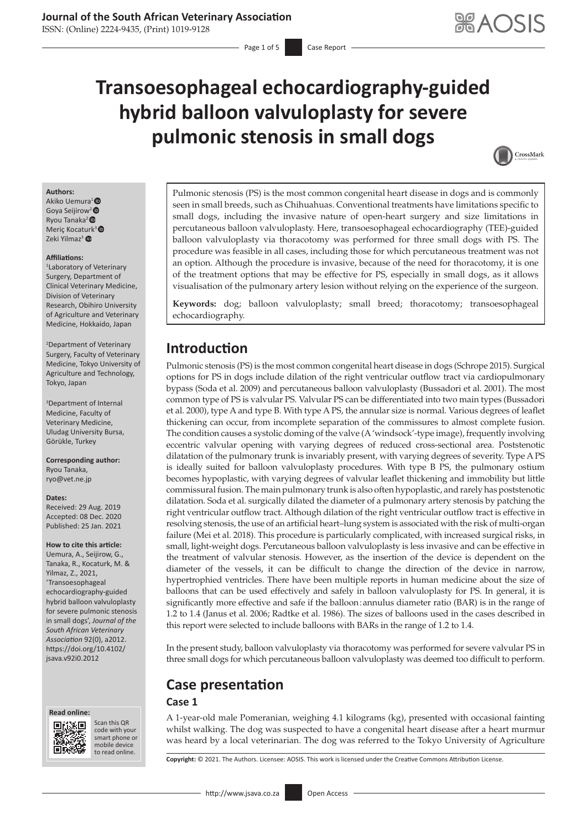ISSN: (Online) 2224-9435, (Print) 1019-9128

# **Transoesophageal echocardiography-guided hybrid balloon valvuloplasty for severe pulmonic stenosis in small dogs**



### **Authors:**

Akiko Uemura<sup>1</sup> Goya Seijirow[2](https://orcid.org/0000-0001-7995-4760)  Ryou Tanaka[2](https://orcid.org/0000-0001-9948-6490)  Meriç Koca[turk](https://orcid.org/0000-0001-9836-0749)<sup>3</sup> Zeki Yilmaz<sup>3</sup>

#### **Affiliations:**

1 Laboratory of Veterinary Surgery, Department of Clinical Veterinary Medicine, Division of Veterinary Research, Obihiro University of Agriculture and Veterinary Medicine, Hokkaido, Japan

2 Department of Veterinary Surgery, Faculty of Veterinary Medicine, Tokyo University of Agriculture and Technology, Tokyo, Japan

3 Department of Internal Medicine, Faculty of Veterinary Medicine, Uludag University Bursa, Görükle, Turkey

**Corresponding author:** Ryou Tanaka, [ryo@vet.ne.jp](mailto:ryo@vet.ne.jp)

#### **Dates:**

Received: 29 Aug. 2019 Accepted: 08 Dec. 2020 Published: 25 Jan. 2021

#### **How to cite this article:**

Uemura, A., Seijirow, G., Tanaka, R., Kocaturk, M. & Yilmaz, Z., 2021, 'Transoesophageal echocardiography-guided hybrid balloon valvuloplasty for severe pulmonic stenosis in small dogs', *Journal of the South African Veterinary Association* 92(0), a2012. [https://doi.org/10.4102/](https://doi.org/10.4102/jsava.v92i0.2012) [jsava.v92i0.2012](https://doi.org/10.4102/jsava.v92i0.2012)





Scan this QR code with your Scan this QR<br>code with your<br>smart phone or<br>mobile device mobile device to read online. to read online.

Pulmonic stenosis (PS) is the most common congenital heart disease in dogs and is commonly seen in small breeds, such as Chihuahuas. Conventional treatments have limitations specific to small dogs, including the invasive nature of open-heart surgery and size limitations in percutaneous balloon valvuloplasty. Here, transoesophageal echocardiography (TEE)-guided balloon valvuloplasty via thoracotomy was performed for three small dogs with PS. The procedure was feasible in all cases, including those for which percutaneous treatment was not an option. Although the procedure is invasive, because of the need for thoracotomy, it is one of the treatment options that may be effective for PS, especially in small dogs, as it allows visualisation of the pulmonary artery lesion without relying on the experience of the surgeon.

**Keywords:** dog; balloon valvuloplasty; small breed; thoracotomy; transoesophageal echocardiography.

# **Introduction**

Pulmonic stenosis (PS) is the most common congenital heart disease in dogs (Schrope 2015). Surgical options for PS in dogs include dilation of the right ventricular outflow tract via cardiopulmonary bypass (Soda et al. 2009) and percutaneous balloon valvuloplasty (Bussadori et al. 2001). The most common type of PS is valvular PS. Valvular PS can be differentiated into two main types (Bussadori et al. 2000), type A and type B. With type A PS, the annular size is normal. Various degrees of leaflet thickening can occur, from incomplete separation of the commissures to almost complete fusion. The condition causes a systolic doming of the valve (A'windsock'-type image), frequently involving eccentric valvular opening with varying degrees of reduced cross-sectional area. Poststenotic dilatation of the pulmonary trunk is invariably present, with varying degrees of severity. Type A PS is ideally suited for balloon valvuloplasty procedures. With type B PS, the pulmonary ostium becomes hypoplastic, with varying degrees of valvular leaflet thickening and immobility but little commissural fusion. The main pulmonary trunk is also often hypoplastic, and rarely has poststenotic dilatation. Soda et al. surgically dilated the diameter of a pulmonary artery stenosis by patching the right ventricular outflow tract. Although dilation of the right ventricular outflow tract is effective in resolving stenosis, the use of an artificial heart–lung system is associated with the risk of multi-organ failure (Mei et al. 2018). This procedure is particularly complicated, with increased surgical risks, in small, light-weight dogs. Percutaneous balloon valvuloplasty is less invasive and can be effective in the treatment of valvular stenosis. However, as the insertion of the device is dependent on the diameter of the vessels, it can be difficult to change the direction of the device in narrow, hypertrophied ventricles. There have been multiple reports in human medicine about the size of balloons that can be used effectively and safely in balloon valvuloplasty for PS. In general, it is significantly more effective and safe if the balloon:annulus diameter ratio (BAR) is in the range of 1.2 to 1.4 (Janus et al. 2006; Radtke et al. 1986). The sizes of balloons used in the cases described in this report were selected to include balloons with BARs in the range of 1.2 to 1.4.

In the present study, balloon valvuloplasty via thoracotomy was performed for severe valvular PS in three small dogs for which percutaneous balloon valvuloplasty was deemed too difficult to perform.

# **Case presentation**

#### **Case 1**

A 1-year-old male Pomeranian, weighing 4.1 kilograms (kg), presented with occasional fainting whilst walking. The dog was suspected to have a congenital heart disease after a heart murmur was heard by a local veterinarian. The dog was referred to the Tokyo University of Agriculture

**Copyright:** © 2021. The Authors. Licensee: AOSIS. This work is licensed under the Creative Commons Attribution License.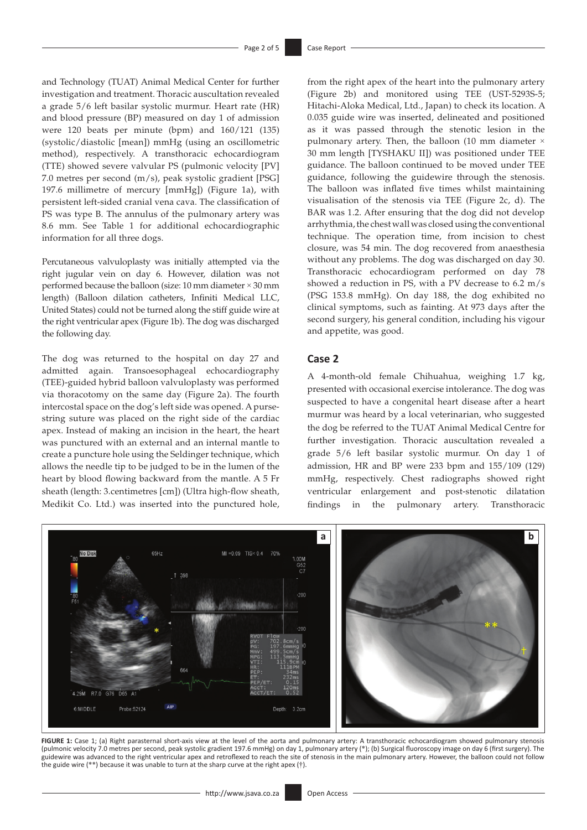and Technology (TUAT) Animal Medical Center for further investigation and treatment. Thoracic auscultation revealed a grade 5/6 left basilar systolic murmur. Heart rate (HR) and blood pressure (BP) measured on day 1 of admission were 120 beats per minute (bpm) and 160/121 (135) (systolic/diastolic [mean]) mmHg (using an oscillometric method), respectively. A transthoracic echocardiogram (TTE) showed severe valvular PS (pulmonic velocity [PV] 7.0 metres per second (m/s), peak systolic gradient [PSG] 197.6 millimetre of mercury [mmHg]) (Figure 1a), with persistent left-sided cranial vena cava. The classification of PS was type B. The annulus of the pulmonary artery was 8.6 mm. See Table 1 for additional echocardiographic information for all three dogs.

Percutaneous valvuloplasty was initially attempted via the right jugular vein on day 6. However, dilation was not performed because the balloon (size:  $10$  mm diameter  $\times$   $30$  mm length) (Balloon dilation catheters, Infiniti Medical LLC, United States) could not be turned along the stiff guide wire at the right ventricular apex (Figure 1b). The dog was discharged the following day.

The dog was returned to the hospital on day 27 and admitted again. Transoesophageal echocardiography (TEE)-guided hybrid balloon valvuloplasty was performed via thoracotomy on the same day (Figure 2a). The fourth intercostal space on the dog's left side was opened. A pursestring suture was placed on the right side of the cardiac apex. Instead of making an incision in the heart, the heart was punctured with an external and an internal mantle to create a puncture hole using the Seldinger technique, which allows the needle tip to be judged to be in the lumen of the heart by blood flowing backward from the mantle. A 5 Fr sheath (length: 3.centimetres [cm]) (Ultra high-flow sheath, Medikit Co. Ltd.) was inserted into the punctured hole, from the right apex of the heart into the pulmonary artery (Figure 2b) and monitored using TEE (UST-5293S-5; Hitachi-Aloka Medical, Ltd., Japan) to check its location. A 0.035 guide wire was inserted, delineated and positioned as it was passed through the stenotic lesion in the pulmonary artery. Then, the balloon (10 mm diameter  $\times$ 30 mm length [TYSHAKU II]) was positioned under TEE guidance. The balloon continued to be moved under TEE guidance, following the guidewire through the stenosis. The balloon was inflated five times whilst maintaining visualisation of the stenosis via TEE (Figure 2c, d). The BAR was 1.2. After ensuring that the dog did not develop arrhythmia, the chest wall was closed using the conventional technique. The operation time, from incision to chest closure, was 54 min. The dog recovered from anaesthesia without any problems. The dog was discharged on day 30. Transthoracic echocardiogram performed on day 78 showed a reduction in PS, with a PV decrease to 6.2 m/s (PSG 153.8 mmHg). On day 188, the dog exhibited no clinical symptoms, such as fainting. At 973 days after the second surgery, his general condition, including his vigour and appetite, was good.

#### **Case 2**

A 4-month-old female Chihuahua, weighing 1.7 kg, presented with occasional exercise intolerance. The dog was suspected to have a congenital heart disease after a heart murmur was heard by a local veterinarian, who suggested the dog be referred to the TUAT Animal Medical Centre for further investigation. Thoracic auscultation revealed a grade 5/6 left basilar systolic murmur. On day 1 of admission, HR and BP were 233 bpm and 155/109 (129) mmHg, respectively. Chest radiographs showed right ventricular enlargement and post-stenotic dilatation findings in the pulmonary artery. Transthoracic



**FIGURE 1:** Case 1; (a) Right parasternal short-axis view at the level of the aorta and pulmonary artery: A transthoracic echocardiogram showed pulmonary stenosis (pulmonic velocity 7.0 metres per second, peak systolic gradient 197.6 mmHg) on day 1, pulmonary artery (\*); (b) Surgical fluoroscopy image on day 6 (first surgery). The guidewire was advanced to the right ventricular apex and retroflexed to reach the site of stenosis in the main pulmonary artery. However, the balloon could not follow the guide wire (\*\*) because it was unable to turn at the sharp curve at the right apex (†).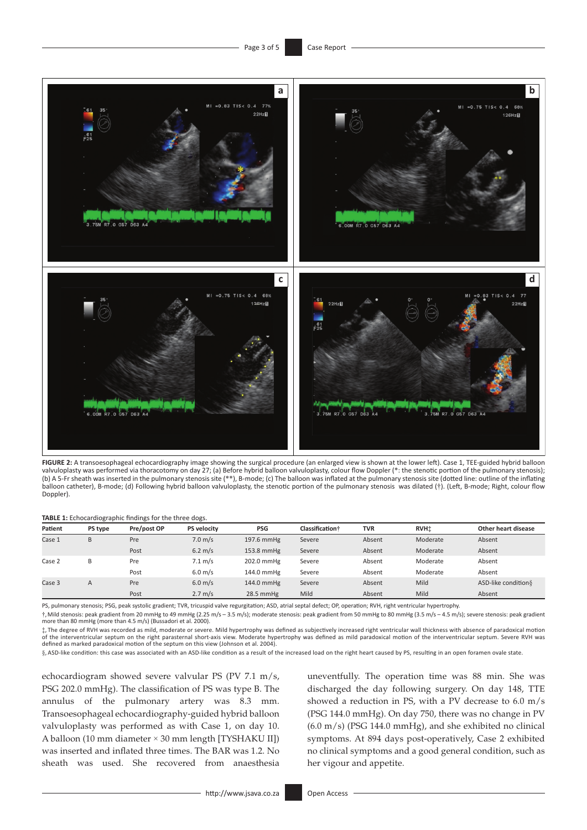

**FIGURE 2:** A transoesophageal echocardiography image showing the surgical procedure (an enlarged view is shown at the lower left). Case 1, TEE-guided hybrid balloon valvuloplasty was performed via thoracotomy on day 27; (a) Before hybrid balloon valvuloplasty, colour flow Doppler (\*: the stenotic portion of the pulmonary stenosis); (b) A 5-Fr sheath was inserted in the pulmonary stenosis site (\*\*), B-mode; (c) The balloon was inflated at the pulmonary stenosis site (dotted line: outline of the inflating balloon catheter), B-mode; (d) Following hybrid balloon valvuloplasty, the stenotic portion of the pulmonary stenosis was dilated (†). (Left, B-mode; Right, colour flow Doppler).

#### **TABLE 1:** Echocardiographic findings for the three dogs.

| Patient | PS type        | Pre/post OP | <b>PS velocity</b> | <b>PSG</b>  | Classification <sup>†</sup> | <b>TVR</b> | <b>RVH</b> <sup>+</sup> | Other heart disease  |
|---------|----------------|-------------|--------------------|-------------|-----------------------------|------------|-------------------------|----------------------|
| Case 1  | B              | Pre         | $7.0 \text{ m/s}$  | 197.6 mmHg  | Severe                      | Absent     | Moderate                | Absent               |
|         |                | Post        | $6.2 \text{ m/s}$  | 153.8 mmHg  | Severe                      | Absent     | Moderate                | Absent               |
| Case 2  | B              | Pre         | $7.1 \text{ m/s}$  | 202.0 mmHg  | Severe                      | Absent     | Moderate                | Absent               |
|         |                | Post        | $6.0 \text{ m/s}$  | 144.0 mmHg  | Severe                      | Absent     | Moderate                | Absent               |
| Case 3  | $\overline{A}$ | Pre         | $6.0 \text{ m/s}$  | 144.0 mmHg  | Severe                      | Absent     | Mild                    | ASD-like condition § |
|         |                | Post        | $2.7 \text{ m/s}$  | $28.5$ mmHg | Mild                        | Absent     | Mild                    | Absent               |

PS, pulmonary stenosis; PSG, peak systolic gradient; TVR, tricuspid valve regurgitation; ASD, atrial septal defect; OP, operation; RVH, right ventricular hypertrophy.

†,Mild stenosis: peak gradient from 20 mmHg to 49 mmHg (2.25 m/s – 3.5 m/s); moderate stenosis: peak gradient from 50 mmHg to 80 mmHg (3.5 m/s – 4.5 m/s); severe stenosis: peak gradient more than 80 mmHg (more than 4.5 m/s) (Bussadori et al. 2000).

‡, The degree of RVH was recorded as mild, moderate or severe. Mild hypertrophy was defined as subjectively increased right ventricular wall thickness with absence of paradoxical motion of the interventricular septum on the right parasternal short-axis view. Moderate hypertrophy was defined as mild paradoxical motion of the interventricular septum. Severe RVH was defined as marked paradoxical motion of the septum on this view (Johnson et al. 2004).

§, ASD-like condition: this case was associated with an ASD-like condition as a result of the increased load on the right heart caused by PS, resulting in an open foramen ovale state.

echocardiogram showed severe valvular PS (PV 7.1 m/s, PSG 202.0 mmHg). The classification of PS was type B. The annulus of the pulmonary artery was 8.3 mm. Transoesophageal echocardiography-guided hybrid balloon valvuloplasty was performed as with Case 1, on day 10. A balloon (10 mm diameter  $\times$  30 mm length [TYSHAKU II]) was inserted and inflated three times. The BAR was 1.2. No sheath was used. She recovered from anaesthesia

uneventfully. The operation time was 88 min. She was discharged the day following surgery. On day 148, TTE showed a reduction in PS, with a PV decrease to 6.0 m/s (PSG 144.0 mmHg). On day 750, there was no change in PV (6.0 m/s) (PSG 144.0 mmHg), and she exhibited no clinical symptoms. At 894 days post-operatively, Case 2 exhibited no clinical symptoms and a good general condition, such as her vigour and appetite.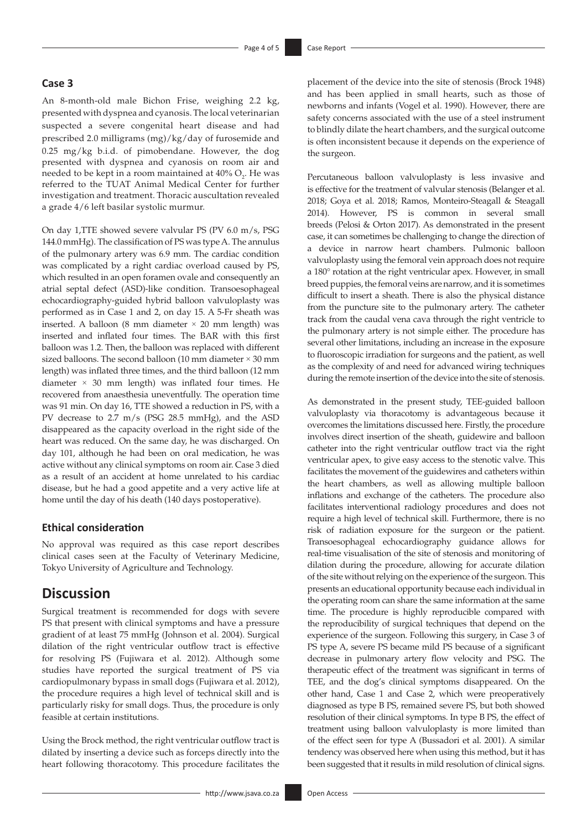## **Case 3**

An 8-month-old male Bichon Frise, weighing 2.2 kg, presented with dyspnea and cyanosis. The local veterinarian suspected a severe congenital heart disease and had prescribed 2.0 milligrams (mg)/kg/day of furosemide and 0.25 mg/kg b.i.d. of pimobendane. However, the dog presented with dyspnea and cyanosis on room air and needed to be kept in a room maintained at  $40\%$   $\mathrm{O}_2$ . He was referred to the TUAT Animal Medical Center for further investigation and treatment. Thoracic auscultation revealed a grade 4/6 left basilar systolic murmur.

On day 1,TTE showed severe valvular PS (PV 6.0 m/s, PSG 144.0 mmHg). The classification of PS was type A. The annulus of the pulmonary artery was 6.9 mm. The cardiac condition was complicated by a right cardiac overload caused by PS, which resulted in an open foramen ovale and consequently an atrial septal defect (ASD)-like condition. Transoesophageal echocardiography-guided hybrid balloon valvuloplasty was performed as in Case 1 and 2, on day 15. A 5-Fr sheath was inserted. A balloon (8 mm diameter  $\times$  20 mm length) was inserted and inflated four times. The BAR with this first balloon was 1.2. Then, the balloon was replaced with different sized balloons. The second balloon (10 mm diameter  $\times$  30 mm length) was inflated three times, and the third balloon (12 mm diameter  $\times$  30 mm length) was inflated four times. He recovered from anaesthesia uneventfully. The operation time was 91 min. On day 16, TTE showed a reduction in PS, with a PV decrease to 2.7 m/s (PSG 28.5 mmHg), and the ASD disappeared as the capacity overload in the right side of the heart was reduced. On the same day, he was discharged. On day 101, although he had been on oral medication, he was active without any clinical symptoms on room air. Case 3 died as a result of an accident at home unrelated to his cardiac disease, but he had a good appetite and a very active life at home until the day of his death (140 days postoperative).

## **Ethical consideration**

No approval was required as this case report describes clinical cases seen at the Faculty of Veterinary Medicine, Tokyo University of Agriculture and Technology.

## **Discussion**

Surgical treatment is recommended for dogs with severe PS that present with clinical symptoms and have a pressure gradient of at least 75 mmHg (Johnson et al. 2004). Surgical dilation of the right ventricular outflow tract is effective for resolving PS (Fujiwara et al. 2012). Although some studies have reported the surgical treatment of PS via cardiopulmonary bypass in small dogs (Fujiwara et al. 2012), the procedure requires a high level of technical skill and is particularly risky for small dogs. Thus, the procedure is only feasible at certain institutions.

Using the Brock method, the right ventricular outflow tract is dilated by inserting a device such as forceps directly into the heart following thoracotomy. This procedure facilitates the

placement of the device into the site of stenosis (Brock 1948) and has been applied in small hearts, such as those of newborns and infants (Vogel et al. 1990). However, there are safety concerns associated with the use of a steel instrument to blindly dilate the heart chambers, and the surgical outcome is often inconsistent because it depends on the experience of the surgeon.

Percutaneous balloon valvuloplasty is less invasive and is effective for the treatment of valvular stenosis (Belanger et al. 2018; Goya et al. 2018; Ramos, Monteiro-Steagall & Steagall 2014). However, PS is common in several small breeds (Pelosi & Orton 2017). As demonstrated in the present case, it can sometimes be challenging to change the direction of a device in narrow heart chambers. Pulmonic balloon valvuloplasty using the femoral vein approach does not require a 180° rotation at the right ventricular apex. However, in small breed puppies, the femoral veins are narrow, and it is sometimes difficult to insert a sheath. There is also the physical distance from the puncture site to the pulmonary artery. The catheter track from the caudal vena cava through the right ventricle to the pulmonary artery is not simple either. The procedure has several other limitations, including an increase in the exposure to fluoroscopic irradiation for surgeons and the patient, as well as the complexity of and need for advanced wiring techniques during the remote insertion of the device into the site of stenosis.

As demonstrated in the present study, TEE-guided balloon valvuloplasty via thoracotomy is advantageous because it overcomes the limitations discussed here. Firstly, the procedure involves direct insertion of the sheath, guidewire and balloon catheter into the right ventricular outflow tract via the right ventricular apex, to give easy access to the stenotic valve. This facilitates the movement of the guidewires and catheters within the heart chambers, as well as allowing multiple balloon inflations and exchange of the catheters. The procedure also facilitates interventional radiology procedures and does not require a high level of technical skill. Furthermore, there is no risk of radiation exposure for the surgeon or the patient. Transoesophageal echocardiography guidance allows for real-time visualisation of the site of stenosis and monitoring of dilation during the procedure, allowing for accurate dilation of the site without relying on the experience of the surgeon. This presents an educational opportunity because each individual in the operating room can share the same information at the same time. The procedure is highly reproducible compared with the reproducibility of surgical techniques that depend on the experience of the surgeon. Following this surgery, in Case 3 of PS type A, severe PS became mild PS because of a significant decrease in pulmonary artery flow velocity and PSG. The therapeutic effect of the treatment was significant in terms of TEE, and the dog's clinical symptoms disappeared. On the other hand, Case 1 and Case 2, which were preoperatively diagnosed as type B PS, remained severe PS, but both showed resolution of their clinical symptoms. In type B PS, the effect of treatment using balloon valvuloplasty is more limited than of the effect seen for type A (Bussadori et al. 2001). A similar tendency was observed here when using this method, but it has been suggested that it results in mild resolution of clinical signs.